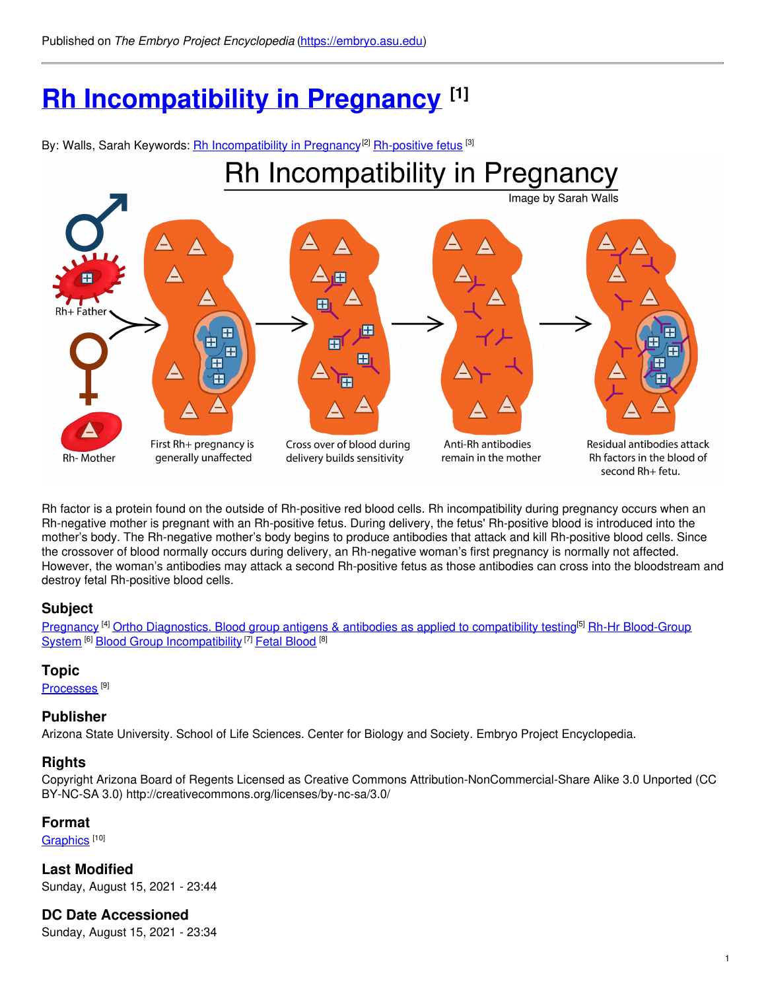# **Rh [Incompatibility](https://embryo.asu.edu/pages/rh-incompatibility-pregnancy-0) in Pregnancy [1]**

By: Walls, Sarah Keywords: <u>Rh [Incompatibility](https://embryo.asu.edu/keywords/rh-incompatibility-pregnancy) in Pregnancyial [Rh-positive](https://embryo.asu.edu/keywords/rh-positive-fetus) fetus</u> <sup>[3]</sup>



Rh factor is a protein found on the outside of Rh-positive red blood cells. Rh incompatibility during pregnancy occurs when an Rh-negative mother is pregnant with an Rh-positive fetus. During delivery, the fetus' Rh-positive blood is introduced into the mother's body. The Rh-negative mother's body begins to produce antibodies that attack and kill Rh-positive blood cells. Since the crossover of blood normally occurs during delivery, an Rh-negative woman's first pregnancy is normally not affected. However, the woman's antibodies may attack a second Rh-positive fetus as those antibodies can cross into the bloodstream and destroy fetal Rh-positive blood cells.

## **Subject**

[Pregnancy](https://embryo.asu.edu/library-congress-subject-headings/pregnancy) <sup>[4]</sup> Ortho Diagnostics. Blood group antigens & antibodies as applied to [compatibility](https://embryo.asu.edu/library-congress-subject-headings/ortho-diagnostics-blood-group-antigens-antibodies-applied) testing<sup>[5]</sup> Rh-Hr Blood-Group System <sup>[6]</sup> Blood Group [Incompatibility](https://embryo.asu.edu/medical-subject-headings/rh-hr-blood-group-system) <sup>[7]</sup> Fetal [Blood](https://embryo.asu.edu/medical-subject-headings/fetal-blood) <sup>[8]</sup>

## **Topic**

[Processes](https://embryo.asu.edu/topics/processes)<sup>[9]</sup>

## **Publisher**

Arizona State University. School of Life Sciences. Center for Biology and Society. Embryo Project Encyclopedia.

## **Rights**

Copyright Arizona Board of Regents Licensed as Creative Commons Attribution-NonCommercial-Share Alike 3.0 Unported (CC BY-NC-SA 3.0) http://creativecommons.org/licenses/by-nc-sa/3.0/

## **Format**

[Graphics](https://embryo.asu.edu/formats/graphics)<sup>[10]</sup>

**Last Modified** Sunday, August 15, 2021 - 23:44

**DC Date Accessioned**

Sunday, August 15, 2021 - 23:34